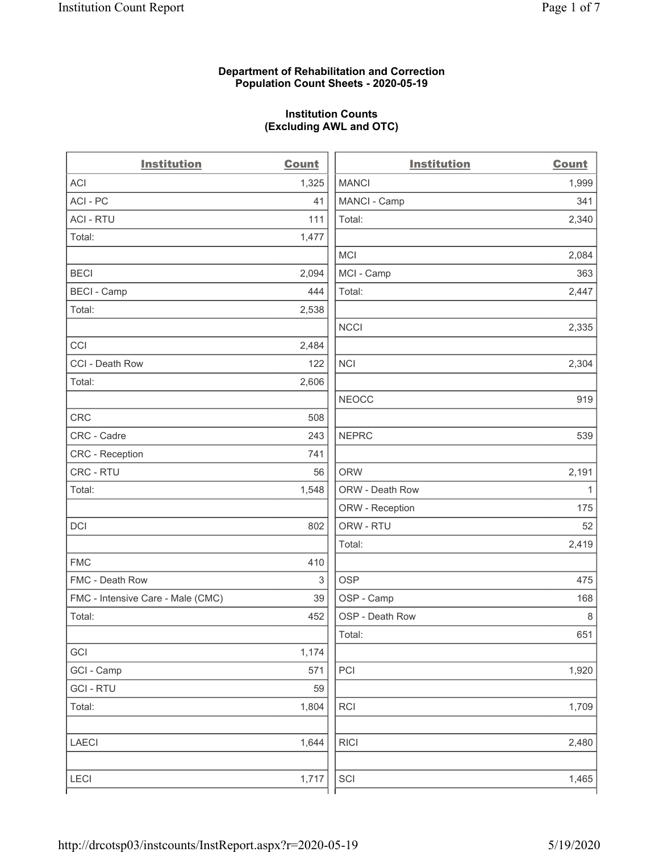### **Department of Rehabilitation and Correction Population Count Sheets - 2020-05-19**

# **Institution Counts (Excluding AWL and OTC)**

 $\overline{a}$ .

| <b>Institution</b>                | <b>Count</b> | <b>Institution</b> | Count        |
|-----------------------------------|--------------|--------------------|--------------|
| <b>ACI</b>                        | 1,325        | <b>MANCI</b>       | 1,999        |
| ACI-PC                            | 41           | MANCI - Camp       | 341          |
| <b>ACI - RTU</b>                  | 111          | Total:             | 2,340        |
| Total:                            | 1,477        |                    |              |
|                                   |              | <b>MCI</b>         | 2,084        |
| <b>BECI</b>                       | 2,094        | MCI - Camp         | 363          |
| <b>BECI - Camp</b>                | 444          | Total:             | 2,447        |
| Total:                            | 2,538        |                    |              |
|                                   |              | <b>NCCI</b>        | 2,335        |
| CCI                               | 2,484        |                    |              |
| CCI - Death Row                   | 122          | <b>NCI</b>         | 2,304        |
| Total:                            | 2,606        |                    |              |
|                                   |              | <b>NEOCC</b>       | 919          |
| <b>CRC</b>                        | 508          |                    |              |
| CRC - Cadre                       | 243          | <b>NEPRC</b>       | 539          |
| <b>CRC</b> - Reception            | 741          |                    |              |
| CRC - RTU                         | 56           | <b>ORW</b>         | 2,191        |
| Total:                            | 1,548        | ORW - Death Row    | $\mathbf{1}$ |
|                                   |              | ORW - Reception    | 175          |
| DCI                               | 802          | ORW - RTU          | 52           |
|                                   |              | Total:             | 2,419        |
| <b>FMC</b>                        | 410          |                    |              |
| FMC - Death Row                   | 3            | <b>OSP</b>         | 475          |
| FMC - Intensive Care - Male (CMC) | 39           | OSP - Camp         | 168          |
| Total:                            | 452          | OSP - Death Row    | 8            |
|                                   |              | Total:             | 651          |
| GCI                               | 1,174        |                    |              |
| GCI - Camp                        | 571          | PCI                | 1,920        |
| <b>GCI-RTU</b>                    | 59           |                    |              |
| Total:                            | 1,804        | RCI                | 1,709        |
| <b>LAECI</b>                      | 1,644        | <b>RICI</b>        | 2,480        |
| <b>LECI</b>                       | 1,717        | SCI                | 1,465        |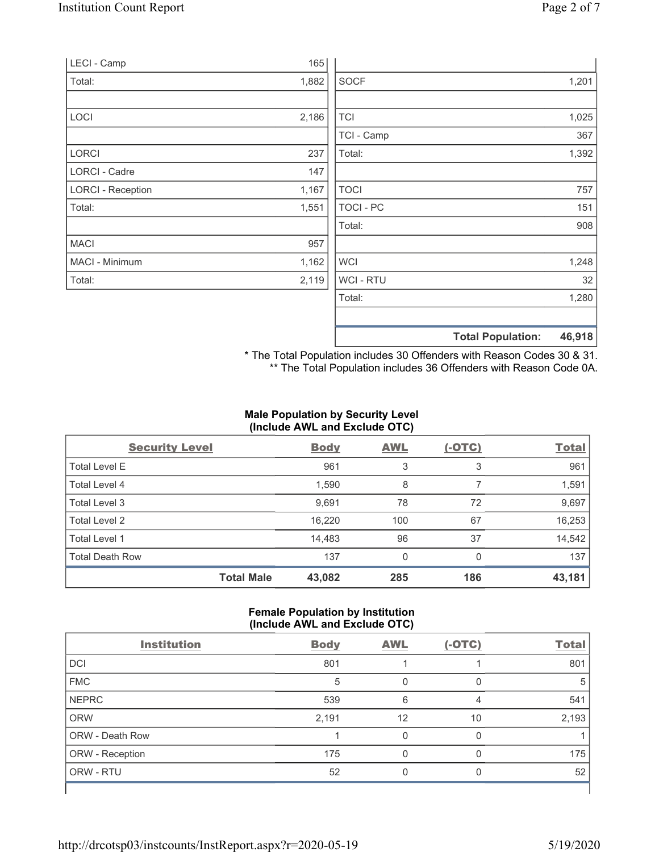| LECI - Camp              | 165   |             |                                    |
|--------------------------|-------|-------------|------------------------------------|
| Total:                   | 1,882 | <b>SOCF</b> | 1,201                              |
|                          |       |             |                                    |
| LOCI                     | 2,186 | <b>TCI</b>  | 1,025                              |
|                          |       | TCI - Camp  | 367                                |
| <b>LORCI</b>             | 237   | Total:      | 1,392                              |
| LORCI - Cadre            | 147   |             |                                    |
| <b>LORCI - Reception</b> | 1,167 | <b>TOCI</b> | 757                                |
| Total:                   | 1,551 | TOCI - PC   | 151                                |
|                          |       | Total:      | 908                                |
| <b>MACI</b>              | 957   |             |                                    |
| MACI - Minimum           | 1,162 | <b>WCI</b>  | 1,248                              |
| Total:                   | 2,119 | WCI - RTU   | 32                                 |
|                          |       | Total:      | 1,280                              |
|                          |       |             |                                    |
|                          |       |             | 46,918<br><b>Total Population:</b> |

\* The Total Population includes 30 Offenders with Reason Codes 30 & 31. \*\* The Total Population includes 36 Offenders with Reason Code 0A.

# **Male Population by Security Level (Include AWL and Exclude OTC)**

| <b>Security Level</b>  |                   | <b>Body</b> | <b>AWL</b> | $(-OTC)$ | <b>Total</b> |
|------------------------|-------------------|-------------|------------|----------|--------------|
| <b>Total Level E</b>   |                   | 961         | 3          | 3        | 961          |
| Total Level 4          |                   | 1,590       | 8          |          | 1,591        |
| Total Level 3          |                   | 9,691       | 78         | 72       | 9,697        |
| Total Level 2          |                   | 16,220      | 100        | 67       | 16,253       |
| Total Level 1          |                   | 14,483      | 96         | 37       | 14,542       |
| <b>Total Death Row</b> |                   | 137         | 0          | $\Omega$ | 137          |
|                        | <b>Total Male</b> | 43,082      | 285        | 186      | 43,181       |

# **Female Population by Institution (Include AWL and Exclude OTC)**

| <b>Institution</b> | <b>Body</b> | <b>AWL</b> | $(-OTC)$ | <b>Total</b> |
|--------------------|-------------|------------|----------|--------------|
| <b>DCI</b>         | 801         |            |          | 801          |
| <b>FMC</b>         | 5           | 0          | $\Omega$ | 5            |
| <b>NEPRC</b>       | 539         | 6          | 4        | 541          |
| <b>ORW</b>         | 2,191       | 12         | 10       | 2,193        |
| ORW - Death Row    |             | 0          | 0        |              |
| ORW - Reception    | 175         | 0          | 0        | 175          |
| ORW - RTU          | 52          | 0          | O        | 52           |
|                    |             |            |          |              |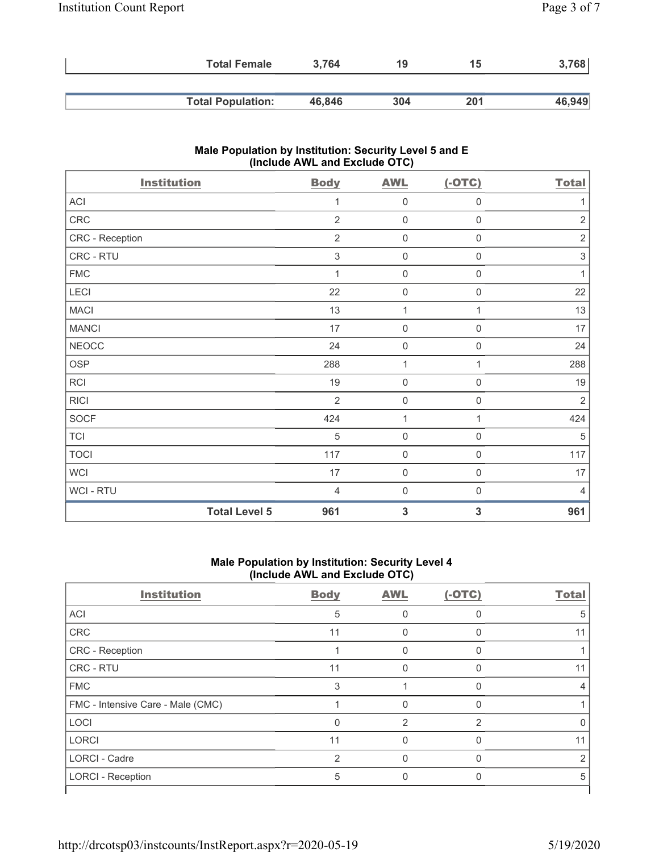| <b>Total Female</b>      | 3.764  | 19  | 15  | 768    |
|--------------------------|--------|-----|-----|--------|
|                          |        |     |     |        |
| <b>Total Population:</b> | 46,846 | 304 | 201 | 46,949 |

# **Male Population by Institution: Security Level 5 and E (Include AWL and Exclude OTC)**

| <b>Institution</b>   | <b>Body</b>               | <b>AWL</b>          | $(-OTC)$            | <b>Total</b>              |
|----------------------|---------------------------|---------------------|---------------------|---------------------------|
| ACI                  | 1                         | $\mathsf{O}\xspace$ | $\boldsymbol{0}$    | 1                         |
| ${\sf CRC}$          | $\overline{2}$            | $\mathsf{O}\xspace$ | $\mathsf{O}\xspace$ | $\overline{2}$            |
| CRC - Reception      | $\overline{2}$            | $\boldsymbol{0}$    | $\mathbf 0$         | $\sqrt{2}$                |
| CRC - RTU            | $\ensuremath{\mathsf{3}}$ | $\mathsf{O}\xspace$ | $\boldsymbol{0}$    | $\ensuremath{\mathsf{3}}$ |
| <b>FMC</b>           | 1                         | $\mathsf{O}\xspace$ | 0                   | 1                         |
| LECI                 | 22                        | $\mathsf{O}\xspace$ | 0                   | 22                        |
| <b>MACI</b>          | 13                        | 1                   | 1                   | 13                        |
| <b>MANCI</b>         | 17                        | $\boldsymbol{0}$    | 0                   | 17                        |
| <b>NEOCC</b>         | 24                        | $\mathbf 0$         | $\mathbf 0$         | 24                        |
| <b>OSP</b>           | 288                       | $\mathbf{1}$        | 1                   | 288                       |
| RCI                  | 19                        | $\mathsf{O}\xspace$ | $\mathbf 0$         | 19                        |
| <b>RICI</b>          | $\overline{2}$            | $\mathsf{O}\xspace$ | $\mathbf 0$         | $\overline{2}$            |
| SOCF                 | 424                       | $\mathbf{1}$        | 1                   | 424                       |
| <b>TCI</b>           | 5                         | $\mathsf{O}\xspace$ | 0                   | 5                         |
| <b>TOCI</b>          | 117                       | $\mathsf{O}\xspace$ | $\boldsymbol{0}$    | 117                       |
| <b>WCI</b>           | 17                        | $\boldsymbol{0}$    | $\mathsf{O}\xspace$ | 17                        |
| WCI - RTU            | $\overline{4}$            | $\boldsymbol{0}$    | 0                   | $\overline{4}$            |
| <b>Total Level 5</b> | 961                       | $\mathbf{3}$        | 3                   | 961                       |

#### **Male Population by Institution: Security Level 4 (Include AWL and Exclude OTC)**

| <b>Institution</b>                | <b>Body</b>    | <b>AWL</b> | $(-OTC)$      | <b>Total</b> |
|-----------------------------------|----------------|------------|---------------|--------------|
| ACI                               | 5              |            |               | 5            |
| <b>CRC</b>                        | 11             | 0          | 0             | 11           |
| CRC - Reception                   |                | 0          | 0             |              |
| CRC - RTU                         | 11             | O          | $\Omega$      | 11           |
| <b>FMC</b>                        | 3              |            | $\Omega$      |              |
| FMC - Intensive Care - Male (CMC) |                | U          | $\Omega$      |              |
| LOCI                              | $\Omega$       | 2          | $\mathcal{P}$ |              |
| <b>LORCI</b>                      | 11             |            | $\Omega$      | 11           |
| <b>LORCI - Cadre</b>              | $\overline{2}$ | $\Omega$   | $\Omega$      | 2            |
| <b>LORCI - Reception</b>          | 5              | 0          | 0             | 5            |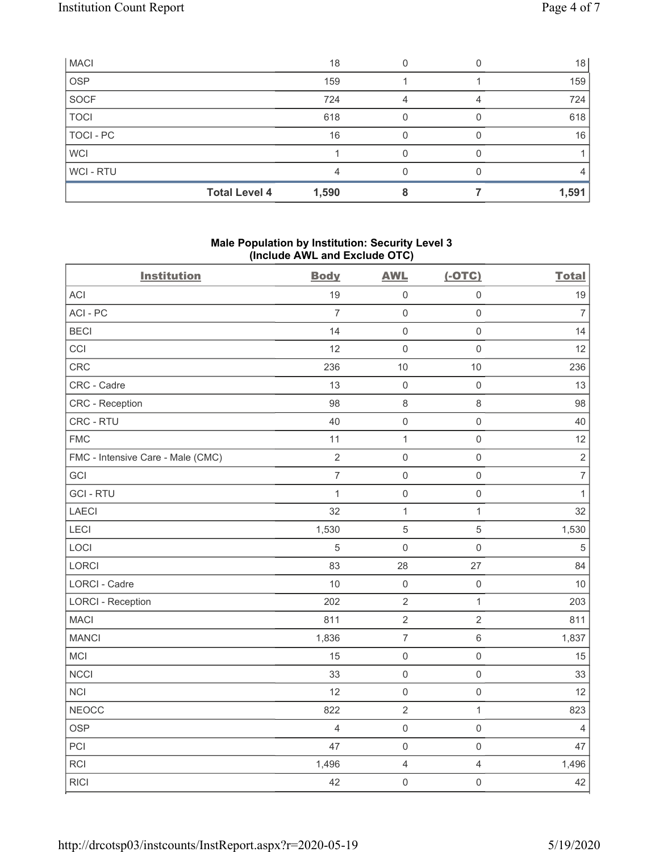| <b>MACI</b>    |                      | 18    |  | 18    |
|----------------|----------------------|-------|--|-------|
| <b>OSP</b>     |                      | 159   |  | 159   |
| SOCF           |                      | 724   |  | 724   |
| <b>TOCI</b>    |                      | 618   |  | 618   |
| TOCI - PC      |                      | 16    |  | 16    |
| <b>WCI</b>     |                      |       |  |       |
| <b>WCI-RTU</b> |                      | 4     |  | 4     |
|                | <b>Total Level 4</b> | 1,590 |  | 1,591 |

## **Male Population by Institution: Security Level 3 (Include AWL and Exclude OTC)**

| <b>Institution</b>                | <b>Body</b>    | <b>AWL</b>       | $(-OTC)$            | <b>Total</b>     |
|-----------------------------------|----------------|------------------|---------------------|------------------|
| ACI                               | 19             | $\mathbf 0$      | $\mathsf 0$         | 19               |
| ACI-PC                            | $\overline{7}$ | $\mathbf 0$      | $\mathsf 0$         | $\overline{7}$   |
| <b>BECI</b>                       | 14             | $\mathbf 0$      | $\mathsf{O}\xspace$ | 14               |
| CCI                               | 12             | $\mathbf 0$      | $\mathsf{O}\xspace$ | 12               |
| CRC                               | 236            | 10               | 10                  | 236              |
| CRC - Cadre                       | 13             | $\mathbf 0$      | $\mathbf 0$         | 13               |
| CRC - Reception                   | 98             | $\,8\,$          | $\,8\,$             | 98               |
| CRC - RTU                         | 40             | $\mathbf 0$      | $\mathsf{O}\xspace$ | 40               |
| <b>FMC</b>                        | 11             | $\mathbf{1}$     | $\mathsf{O}\xspace$ | 12               |
| FMC - Intensive Care - Male (CMC) | $\overline{c}$ | $\mathbf 0$      | $\mathsf{O}\xspace$ | $\sqrt{2}$       |
| GCI                               | $\overline{7}$ | $\mathbf 0$      | $\mathbf 0$         | $\boldsymbol{7}$ |
| <b>GCI-RTU</b>                    | $\mathbf{1}$   | $\mathbf 0$      | $\mathsf{O}\xspace$ | $\mathbf{1}$     |
| LAECI                             | 32             | $\mathbf{1}$     | $\mathbf{1}$        | 32               |
| LECI                              | 1,530          | $\mathbf 5$      | $\sqrt{5}$          | 1,530            |
| LOCI                              | 5              | $\mathbf 0$      | $\mathsf{O}\xspace$ | $\sqrt{5}$       |
| LORCI                             | 83             | 28               | 27                  | 84               |
| LORCI - Cadre                     | 10             | $\mathbf 0$      | $\mathsf{O}\xspace$ | 10               |
| <b>LORCI - Reception</b>          | 202            | $\sqrt{2}$       | $\mathbf{1}$        | 203              |
| <b>MACI</b>                       | 811            | $\sqrt{2}$       | $\overline{2}$      | 811              |
| <b>MANCI</b>                      | 1,836          | $\boldsymbol{7}$ | $\,6\,$             | 1,837            |
| MCI                               | 15             | $\mathbf 0$      | $\mathsf 0$         | 15               |
| <b>NCCI</b>                       | 33             | $\mathbf 0$      | $\mathsf{O}\xspace$ | 33               |
| <b>NCI</b>                        | 12             | $\mathbf 0$      | $\mathbf 0$         | 12               |
| <b>NEOCC</b>                      | 822            | $\sqrt{2}$       | $\mathbf{1}$        | 823              |
| <b>OSP</b>                        | 4              | $\mathbf 0$      | $\mathsf 0$         | $\overline{4}$   |
| PCI                               | 47             | $\mathbf 0$      | $\mathsf 0$         | 47               |
| <b>RCI</b>                        | 1,496          | $\overline{4}$   | $\overline{4}$      | 1,496            |
| <b>RICI</b>                       | 42             | $\mathbf 0$      | $\mathsf{O}\xspace$ | 42               |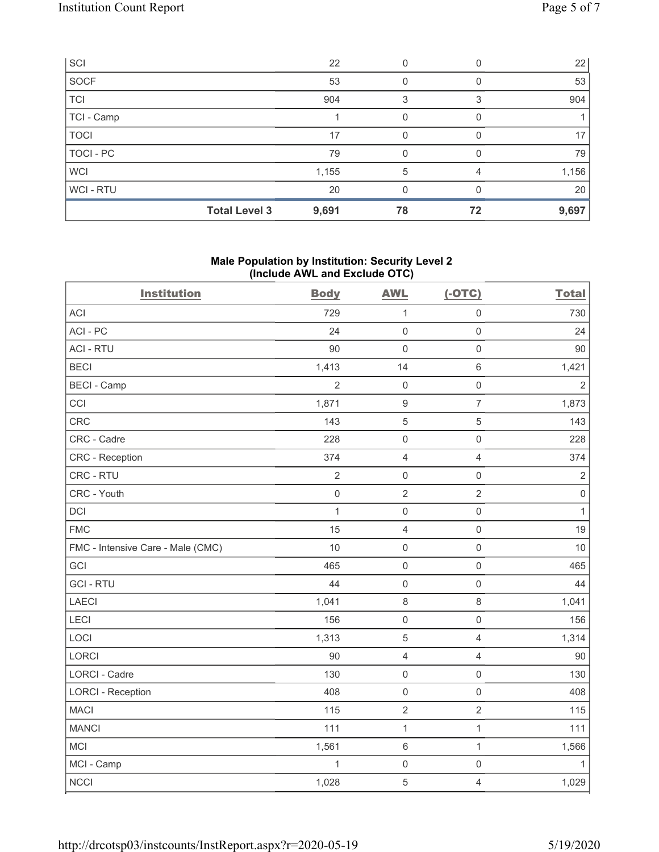| SCI         |                      | 22    |    |    | 22              |
|-------------|----------------------|-------|----|----|-----------------|
| SOCF        |                      | 53    |    |    | 53              |
| <b>TCI</b>  |                      | 904   | 3  |    | 904             |
| TCI - Camp  |                      |       | 0  |    |                 |
| <b>TOCI</b> |                      | 17    | 0  |    | 17 <sup>2</sup> |
| TOCI - PC   |                      | 79    | O  |    | 79              |
| <b>WCI</b>  |                      | 1,155 | 5  |    | 1,156           |
| WCI-RTU     |                      | 20    |    |    | 20              |
|             | <b>Total Level 3</b> | 9,691 | 78 | 72 | 9,697           |

### **Male Population by Institution: Security Level 2 (Include AWL and Exclude OTC)**

| <b>Institution</b>                | <b>Body</b>         | <b>AWL</b>          | $(-OTC)$            | <b>Total</b>   |
|-----------------------------------|---------------------|---------------------|---------------------|----------------|
| <b>ACI</b>                        | 729                 | $\mathbf{1}$        | $\mathsf{O}\xspace$ | 730            |
| ACI-PC                            | 24                  | $\mathbf 0$         | $\mathsf{O}\xspace$ | 24             |
| <b>ACI - RTU</b>                  | 90                  | $\mathsf{O}\xspace$ | $\mathsf 0$         | 90             |
| <b>BECI</b>                       | 1,413               | 14                  | $\,6\,$             | 1,421          |
| <b>BECI - Camp</b>                | $\overline{2}$      | $\mathsf{O}$        | $\mathsf{O}\xspace$ | $\overline{2}$ |
| CCI                               | 1,871               | $\boldsymbol{9}$    | $\overline{7}$      | 1,873          |
| CRC                               | 143                 | $\sqrt{5}$          | $\overline{5}$      | 143            |
| CRC - Cadre                       | 228                 | $\mathsf{O}\xspace$ | $\mathsf{O}\xspace$ | 228            |
| <b>CRC</b> - Reception            | 374                 | $\overline{4}$      | $\overline{4}$      | 374            |
| CRC - RTU                         | $\overline{2}$      | $\mathbf 0$         | $\mathsf{O}\xspace$ | $\sqrt{2}$     |
| CRC - Youth                       | $\mathsf{O}\xspace$ | $\overline{2}$      | $\overline{2}$      | $\,0\,$        |
| <b>DCI</b>                        | $\mathbf{1}$        | $\mathsf{O}\xspace$ | $\mathsf{O}\xspace$ | $\mathbf{1}$   |
| <b>FMC</b>                        | 15                  | $\sqrt{4}$          | $\mathsf{O}\xspace$ | 19             |
| FMC - Intensive Care - Male (CMC) | 10                  | $\mathsf{O}\xspace$ | $\mathsf 0$         | 10             |
| GCI                               | 465                 | $\mathbf 0$         | $\mathsf 0$         | 465            |
| <b>GCI-RTU</b>                    | 44                  | $\mathbf 0$         | $\mathsf 0$         | 44             |
| <b>LAECI</b>                      | 1,041               | $\,8\,$             | $\,8\,$             | 1,041          |
| LECI                              | 156                 | $\mathsf{O}\xspace$ | $\mathsf 0$         | 156            |
| LOCI                              | 1,313               | $\mathbf 5$         | $\overline{4}$      | 1,314          |
| LORCI                             | 90                  | $\overline{4}$      | $\overline{4}$      | 90             |
| <b>LORCI - Cadre</b>              | 130                 | $\mathsf 0$         | $\mathsf 0$         | 130            |
| <b>LORCI - Reception</b>          | 408                 | $\mathsf 0$         | $\mathsf{O}\xspace$ | 408            |
| <b>MACI</b>                       | 115                 | $\overline{2}$      | $\overline{2}$      | 115            |
| <b>MANCI</b>                      | 111                 | $\mathbf 1$         | $\mathbf{1}$        | 111            |
| MCI                               | 1,561               | $\,6\,$             | $\mathbf{1}$        | 1,566          |
| MCI - Camp                        | $\mathbf{1}$        | $\mathbf 0$         | $\mathsf 0$         | $\mathbf{1}$   |
| <b>NCCI</b>                       | 1,028               | $\mathbf 5$         | $\sqrt{4}$          | 1,029          |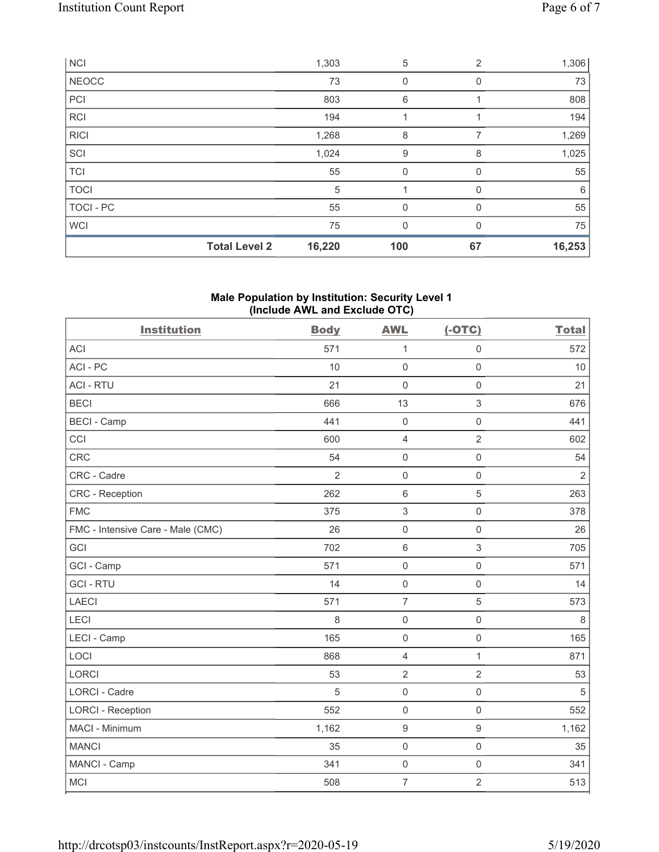|              | <b>Total Level 2</b> | 16,220 | 100         | 67             | 16,253 |
|--------------|----------------------|--------|-------------|----------------|--------|
| <b>WCI</b>   |                      | 75     | 0           |                | 75     |
| TOCI - PC    |                      | 55     | $\mathbf 0$ | $\Omega$       | 55     |
| <b>TOCI</b>  |                      | 5      |             |                | 6      |
| <b>TCI</b>   |                      | 55     | 0           | O              | 55     |
| SCI          |                      | 1,024  | 9           | 8              | 1,025  |
| <b>RICI</b>  |                      | 1,268  | 8           | 7              | 1,269  |
| <b>RCI</b>   |                      | 194    |             |                | 194    |
| PCI          |                      | 803    | 6           |                | 808    |
| <b>NEOCC</b> |                      | 73     | 0           | 0              | 73     |
| <b>NCI</b>   |                      | 1,303  | 5           | $\overline{2}$ | 1,306  |

### **Male Population by Institution: Security Level 1 (Include AWL and Exclude OTC)**

| <b>Institution</b>                | <b>Body</b>    | <b>AWL</b>          | $(-OTC)$            | <b>Total</b>   |
|-----------------------------------|----------------|---------------------|---------------------|----------------|
| <b>ACI</b>                        | 571            | $\mathbf{1}$        | $\mathsf{O}\xspace$ | 572            |
| ACI-PC                            | 10             | $\mathbf 0$         | $\mathsf{O}\xspace$ | 10             |
| <b>ACI - RTU</b>                  | 21             | $\mathbf 0$         | $\mathbf 0$         | 21             |
| <b>BECI</b>                       | 666            | 13                  | $\sqrt{3}$          | 676            |
| <b>BECI - Camp</b>                | 441            | $\mathbf 0$         | $\mathsf{O}\xspace$ | 441            |
| CCI                               | 600            | $\overline{4}$      | $\overline{2}$      | 602            |
| <b>CRC</b>                        | 54             | $\mathsf{O}\xspace$ | $\mathbf 0$         | 54             |
| CRC - Cadre                       | $\overline{2}$ | $\mathbf 0$         | $\mathsf 0$         | $\overline{2}$ |
| <b>CRC</b> - Reception            | 262            | $\,6\,$             | $\overline{5}$      | 263            |
| <b>FMC</b>                        | 375            | 3                   | $\mathbf 0$         | 378            |
| FMC - Intensive Care - Male (CMC) | 26             | $\mathsf{O}\xspace$ | $\mathsf 0$         | 26             |
| GCI                               | 702            | $\,6\,$             | $\mathfrak{S}$      | 705            |
| GCI - Camp                        | 571            | $\mathsf{O}\xspace$ | $\mathsf 0$         | 571            |
| <b>GCI-RTU</b>                    | 14             | $\mathsf{O}\xspace$ | $\mathbf 0$         | 14             |
| <b>LAECI</b>                      | 571            | $\overline{7}$      | $\overline{5}$      | 573            |
| LECI                              | 8              | $\mathbf 0$         | $\mathsf{O}\xspace$ | $\,8\,$        |
| LECI - Camp                       | 165            | $\mathbf 0$         | $\mathbf 0$         | 165            |
| LOCI                              | 868            | $\overline{4}$      | $\mathbf{1}$        | 871            |
| <b>LORCI</b>                      | 53             | $\overline{2}$      | $\overline{2}$      | 53             |
| <b>LORCI - Cadre</b>              | 5              | $\mathsf{O}\xspace$ | $\mathsf 0$         | $\mathbf 5$    |
| <b>LORCI - Reception</b>          | 552            | $\mathbf 0$         | $\mathbf 0$         | 552            |
| MACI - Minimum                    | 1,162          | $\boldsymbol{9}$    | $\boldsymbol{9}$    | 1,162          |
| <b>MANCI</b>                      | 35             | $\mathbf 0$         | $\mathsf{O}\xspace$ | 35             |
| MANCI - Camp                      | 341            | $\mathsf{O}\xspace$ | $\mathsf 0$         | 341            |
| <b>MCI</b>                        | 508            | $\overline{7}$      | $\overline{2}$      | 513            |